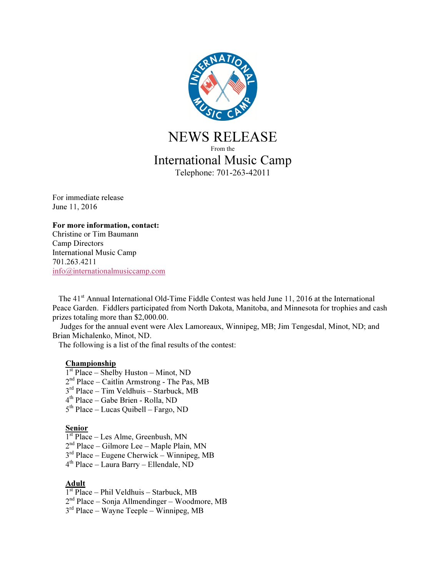

NEWS RELEASE From the International Music Camp Telephone: 701-263-42011

For immediate release June 11, 2016

#### For more information, contact:

Christine or Tim Baumann Camp Directors International Music Camp 701.263.4211 info@internationalmusiccamp.com

The 41<sup>st</sup> Annual International Old-Time Fiddle Contest was held June 11, 2016 at the International Peace Garden. Fiddlers participated from North Dakota, Manitoba, and Minnesota for trophies and cash prizes totaling more than \$2,000.00.

 Judges for the annual event were Alex Lamoreaux, Winnipeg, MB; Jim Tengesdal, Minot, ND; and Brian Michalenko, Minot, ND.

The following is a list of the final results of the contest:

### **Championship**

- 1 st Place Shelby Huston Minot, ND
- 2 nd Place Caitlin Armstrong The Pas, MB
- 3 rd Place Tim Veldhuis Starbuck, MB
- 4 th Place Gabe Brien Rolla, ND
- 5 th Place Lucas Quibell Fargo, ND

#### **Senior**

- 1 st Place Les Alme, Greenbush, MN
- 2 nd Place Gilmore Lee Maple Plain, MN
- 3 rd Place Eugene Cherwick Winnipeg, MB
- 4 th Place Laura Barry Ellendale, ND

# Adult

- 1 st Place Phil Veldhuis Starbuck, MB
- 2 nd Place Sonja Allmendinger Woodmore, MB
- 3 rd Place Wayne Teeple Winnipeg, MB